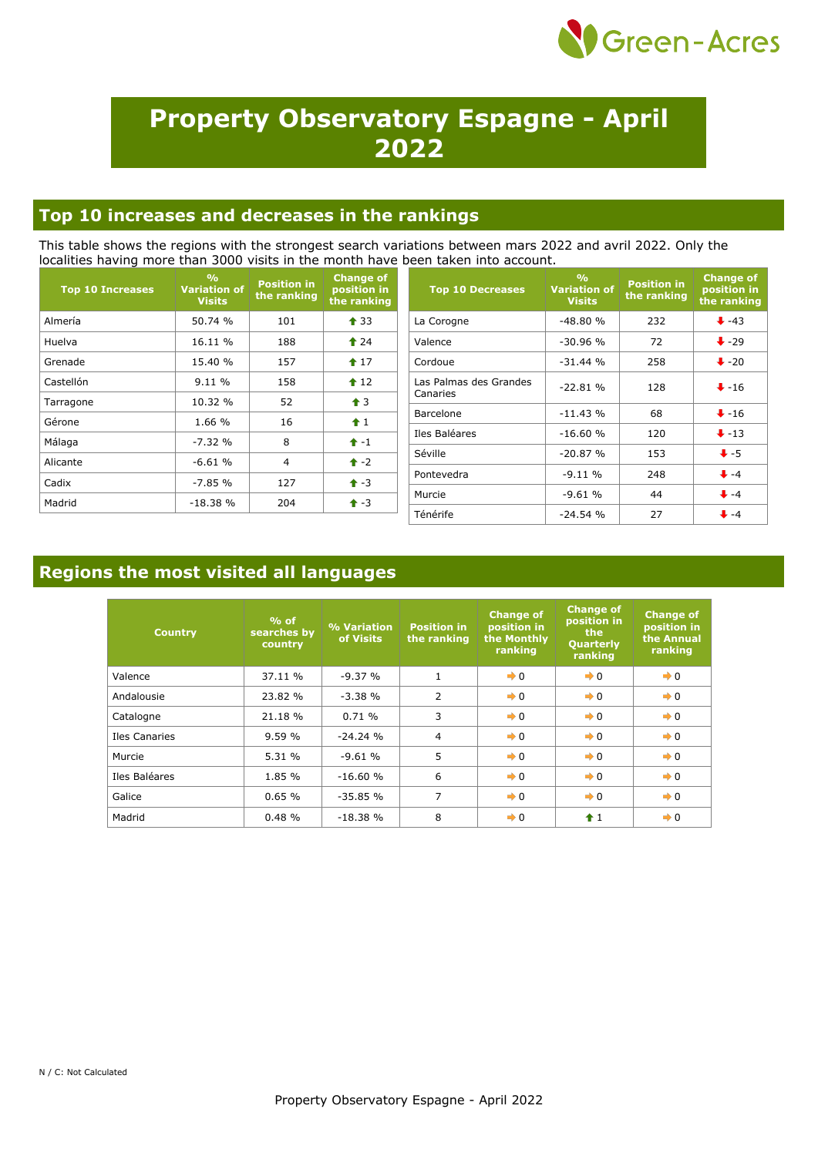

# **Property Observatory Espagne - April 2022**

### **Top 10 increases and decreases in the rankings**

This table shows the regions with the strongest search variations between mars 2022 and avril 2022. Only the localities having more than 3000 visits in the month have been taken into account.

| <b>Top 10 Increases</b> | $\frac{9}{6}$<br><b>Variation of</b><br><b>Visits</b> | <b>Position in</b><br>the ranking | <b>Change of</b><br>position in<br>the ranking | <b>Top 10 Decreases</b> | O <sub>0</sub><br><b>Variation of</b><br><b>Visits</b> | <b>Position in</b><br>the ranking | <b>Change of</b><br>position in<br>the ranking |
|-------------------------|-------------------------------------------------------|-----------------------------------|------------------------------------------------|-------------------------|--------------------------------------------------------|-----------------------------------|------------------------------------------------|
| Almería                 | 50.74 %                                               | 101                               | $\triangle$ 33                                 | La Corogne              | $-48.80%$                                              | 232                               | $+ -43$                                        |
| Huelva                  | 16.11 %                                               | 188                               | $\textbf{\textcolor{red}{\bullet}}$ 24         | Valence                 | $-30.96%$                                              | 72                                | $\bigstar$ -29                                 |
| Grenade                 | 15.40 %                                               | 157                               | $17$                                           | Cordoue                 | $-31.44%$                                              | 258                               | $\bigvee$ -20                                  |
| Castellón               | 9.11%                                                 | 158                               | $\triangle$ 12                                 | Las Palmas des Grandes  | $-22.81%$                                              | 128                               | $+ -16$                                        |
| Tarragone               | 10.32 %                                               | 52                                | $\triangleq$ 3                                 | Canaries                |                                                        |                                   |                                                |
| Gérone                  | 1.66 %                                                | 16                                | f1                                             | Barcelone               | $-11.43%$                                              | 68                                | $\bigvee -16$                                  |
|                         |                                                       |                                   |                                                | Iles Baléares           | $-16.60%$                                              | 120                               | $\bigvee$ -13                                  |
| Málaga                  | $-7.32%$                                              | 8                                 | $1 - 1$                                        |                         |                                                        |                                   |                                                |
| Alicante                | $-6.61%$                                              | 4                                 | $\uparrow$ -2                                  | Séville                 | $-20.87%$                                              | 153                               | $\bigstar$ -5                                  |
|                         |                                                       |                                   |                                                | Pontevedra              | $-9.11%$                                               | 248                               | $+ -4$                                         |
| Cadix                   | $-7.85%$                                              | 127                               | $+3$                                           |                         |                                                        |                                   | $\bigvee -4$                                   |
| Madrid                  | $-18.38%$                                             | 204                               | $+3$                                           | Murcie                  | $-9.61%$                                               | 44                                |                                                |
|                         |                                                       |                                   |                                                | Ténérife                | $-24.54%$                                              | 27                                | $+ -4$                                         |

### **Regions the most visited all languages**

| <b>Country</b> | $%$ of<br>searches by<br>country | % Variation<br>of Visits | <b>Position in</b><br>the ranking | <b>Change of</b><br>position in<br>the Monthly<br>ranking | <b>Change of</b><br>position in<br>the<br>Quarterly<br>ranking | <b>Change of</b><br>position in<br>the Annual<br>ranking |
|----------------|----------------------------------|--------------------------|-----------------------------------|-----------------------------------------------------------|----------------------------------------------------------------|----------------------------------------------------------|
| Valence        | 37.11 %                          | $-9.37%$                 |                                   | $\rightarrow 0$                                           | $\rightarrow 0$                                                | $\rightarrow 0$                                          |
| Andalousie     | 23.82 %                          | $-3.38%$                 | 2                                 | $\rightarrow 0$                                           | $\rightarrow 0$                                                | $\rightarrow 0$                                          |
| Catalogne      | 21.18 %                          | 0.71%                    | 3                                 | $\rightarrow 0$                                           | $\rightarrow 0$                                                | $\rightarrow 0$                                          |
| Iles Canaries  | 9.59%                            | $-24.24%$                | $\overline{4}$                    | $\rightarrow 0$                                           | $\rightarrow 0$                                                | $\rightarrow 0$                                          |
| Murcie         | 5.31 %                           | $-9.61%$                 | 5                                 | $\rightarrow 0$                                           | $\rightarrow 0$                                                | $\rightarrow 0$                                          |
| Iles Baléares  | 1.85 %                           | $-16.60%$                | 6                                 | $\rightarrow 0$                                           | $\rightarrow 0$                                                | $\rightarrow 0$                                          |
| Galice         | 0.65%                            | $-35.85%$                | $\overline{7}$                    | $\rightarrow 0$                                           | $\rightarrow 0$                                                | $\rightarrow 0$                                          |
| Madrid         | 0.48%                            | $-18.38%$                | 8                                 | $\rightarrow 0$                                           | f1                                                             | $\rightarrow 0$                                          |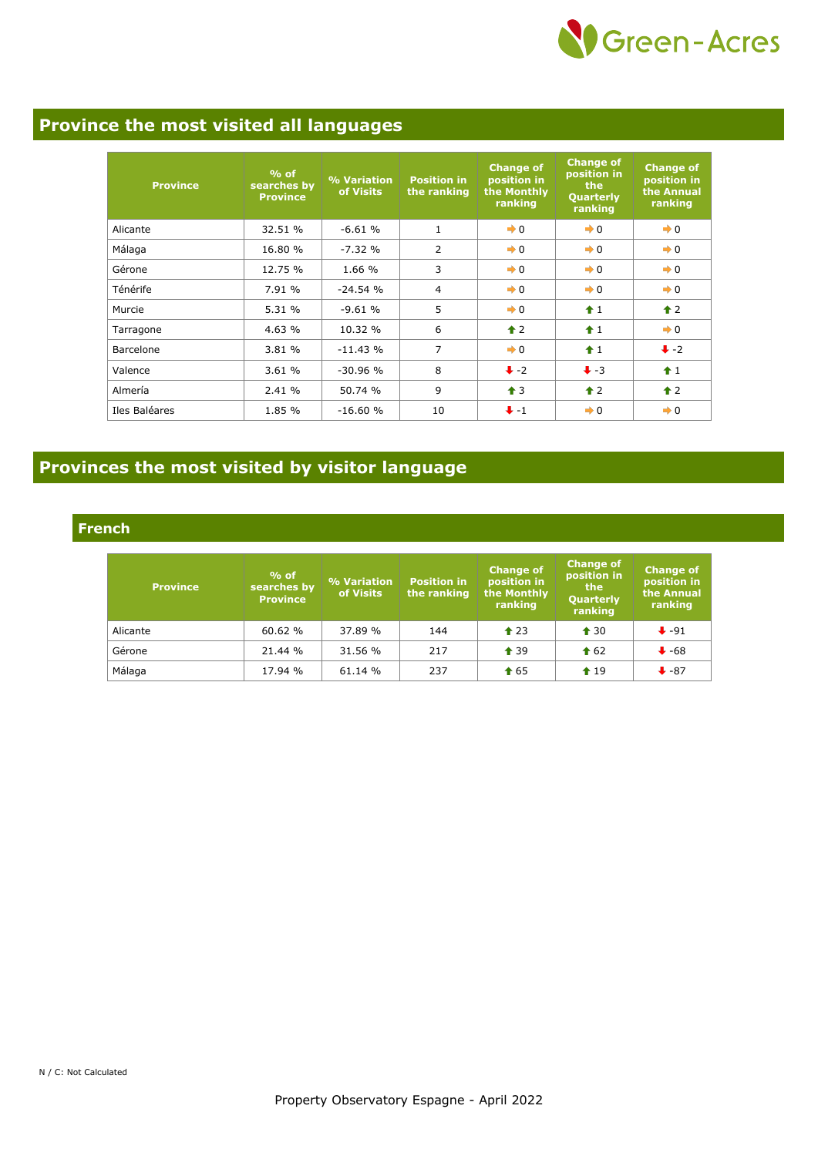

### **Province the most visited all languages**

| <b>Province</b> | $%$ of<br>searches by<br><b>Province</b> | % Variation<br>of Visits | <b>Position in</b><br>the ranking | <b>Change of</b><br>position in<br>the Monthly<br>ranking | <b>Change of</b><br>position in<br>the<br>Quarterly<br>ranking | <b>Change of</b><br>position in<br>the Annual<br>ranking |
|-----------------|------------------------------------------|--------------------------|-----------------------------------|-----------------------------------------------------------|----------------------------------------------------------------|----------------------------------------------------------|
| Alicante        | 32.51 %                                  | $-6.61%$                 | $\mathbf{1}$                      | $\rightarrow 0$                                           | $\rightarrow 0$                                                | $\rightarrow 0$                                          |
| Málaga          | 16.80 %                                  | $-7.32%$                 | $\overline{2}$                    | $\rightarrow 0$                                           | $\rightarrow 0$                                                | $\rightarrow 0$                                          |
| Gérone          | 12.75 %                                  | 1.66 %                   | 3                                 | $\rightarrow 0$                                           | $\rightarrow 0$                                                | $\rightarrow 0$                                          |
| Ténérife        | 7.91 %                                   | $-24.54%$                | 4                                 | $\rightarrow 0$                                           | $\rightarrow 0$                                                | $\rightarrow 0$                                          |
| Murcie          | 5.31 %                                   | $-9.61%$                 | 5                                 | $\rightarrow 0$                                           | $\hat{1}$                                                      | $\uparrow$ 2                                             |
| Tarragone       | 4.63%                                    | 10.32 %                  | 6                                 | $\triangle$ 2                                             | $+1$                                                           | $\rightarrow 0$                                          |
| Barcelone       | 3.81 %                                   | $-11.43%$                | 7                                 | $\rightarrow 0$                                           | $\hat{+}1$                                                     | $\ddot{\bullet}$ -2                                      |
| Valence         | 3.61%                                    | $-30.96%$                | 8                                 | $\ddot{\bullet}$ -2                                       | $\ddot{\bullet}$ -3                                            | $\uparrow$ 1                                             |
| Almería         | 2.41 %                                   | 50.74 %                  | 9                                 | $\triangleq$ 3                                            | $\triangle$ 2                                                  | $\hat{\mathbf{r}}$ 2                                     |
| Iles Baléares   | 1.85 %                                   | $-16.60%$                | 10                                | $+ -1$                                                    | $\rightarrow 0$                                                | $\rightarrow 0$                                          |

## **Provinces the most visited by visitor language**

#### **French**

| <b>Province</b> | $%$ of<br>searches by<br><b>Province</b> | % Variation<br>of Visits | <b>Position in</b><br>the ranking | <b>Change of</b><br>position in<br>the Monthly<br>ranking | <b>Change of</b><br>position in<br>the<br>Quarterly<br>ranking | <b>Change of</b><br>position in<br>the Annual<br>ranking |
|-----------------|------------------------------------------|--------------------------|-----------------------------------|-----------------------------------------------------------|----------------------------------------------------------------|----------------------------------------------------------|
| Alicante        | 60.62 %                                  | 37.89 %                  | 144                               | $\triangle$ 23                                            | $\triangle$ 30                                                 | $\ddot{\bullet}$ -91                                     |
| Gérone          | 21.44 %                                  | 31.56 %                  | 217                               | $\triangle$ 39                                            | $\textbf{\textcolor{blue}{\bullet}} 62$                        | $\bigvee$ -68                                            |
| Málaga          | 17.94 %                                  | 61.14 %                  | 237                               | $\textcolor{blue}{\bigstar}$ 65                           | $\textcolor{blue}{\bigstar}$ 19                                | $\bigstar$ -87                                           |